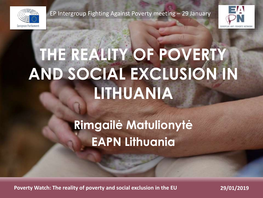

EP Intergroup Fighting Against Poverty meeting – 29 January



# **THE REALITY OF POVERTY AND SOCIAL EXCLUSION IN LITHUANIA**

## **Rimgailė Matulionytė EAPN Lithuania**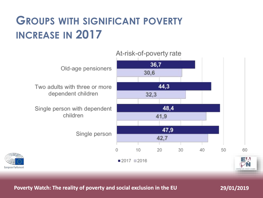#### **GROUPS WITH SIGNIFICANT POVERTY INCREASE IN 2017**

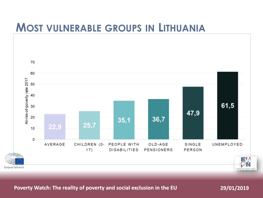#### **MOST VULNERABLE GROUPS IN LITHUANIA**

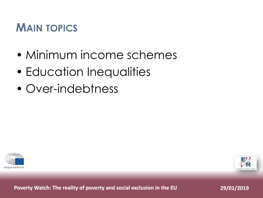#### **MAIN TOPICS**

- Minimum income schemes
- Education Inequalities
- Over-indebtness



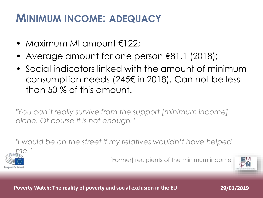#### **MINIMUM INCOME: ADEQUACY**

- Maximum MI amount €122;
- Average amount for one person €81.1 (2018);
- Social indicators linked with the amount of minimum consumption needs (245€ in 2018). Can not be less than 50 % of this amount.

*"You can't really survive from the support [minimum income] alone. Of course it is not enough."*

*"I would be on the street if my relatives wouldn't have helped* 



[Former] recipients of the minimum income

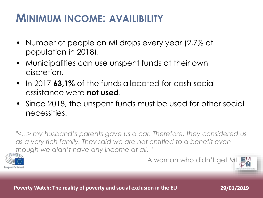#### **MINIMUM INCOME: AVAILIBILITY**

- Number of people on MI drops every year (2,7% of population in 2018).
- Municipalities can use unspent funds at their own discretion.
- In 2017 **63,1%** of the funds allocated for cash social assistance were **not used**.
- Since 2018, the unspent funds must be used for other social necessities.

*"<...> my husband's parents gave us a car. Therefore, they considered us as a very rich family. They said we are not entitled to a benefit even though we didn't have any income at all. "*



A woman who didn't get MI

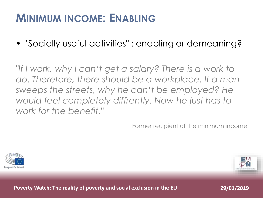#### **MINIMUM INCOME: ENABLING**

• *"*Socially useful activities*"* : enabling or demeaning?

*"If I work, why I can't get a salary? There is a work to do. Therefore, there should be a workplace. If a man sweeps the streets, why he can't be employed? He would feel completely diffrently. Now he just has to work for the benefit."*

Former recipient of the minimum income



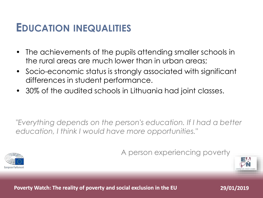#### **EDUCATION INEQUALITIES**

- The achievements of the pupils attending smaller schools in the rural areas are much lower than in urban areas;
- Socio-economic status is strongly associated with significant differences in student performance.
- 30% of the audited schools in Lithuania had joint classes.

*"Everything depends on the person's education. If I had a better education, I think I would have more opportunities."*



A person experiencing poverty

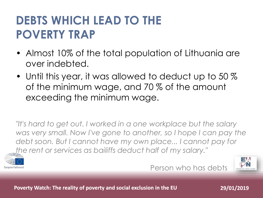### **DEBTS WHICH LEAD TO THE POVERTY TRAP**

- Almost 10% of the total population of Lithuania are over indebted.
- Until this year, it was allowed to deduct up to 50 % of the minimum wage, and 70 % of the amount exceeding the minimum wage.

*"It's hard to get out. I worked in a one workplace but the salary*  was very small. Now I've gone to another, so I hope I can pay the *debt soon. But I cannot have my own place... I cannot pay for the rent or services as bailiffs deduct half of my salary."*



Person who has debts

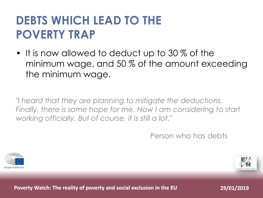### **DEBTS WHICH LEAD TO THE POVERTY TRAP**

• It is now allowed to deduct up to 30 % of the minimum wage, and 50 % of the amount exceeding the minimum wage.

*"I heard that they are planning to mitigate the deductions. Finally, there is some hope for me. Now I am considering to start working officially. But of course, it is still a lot."*

Person who has debts